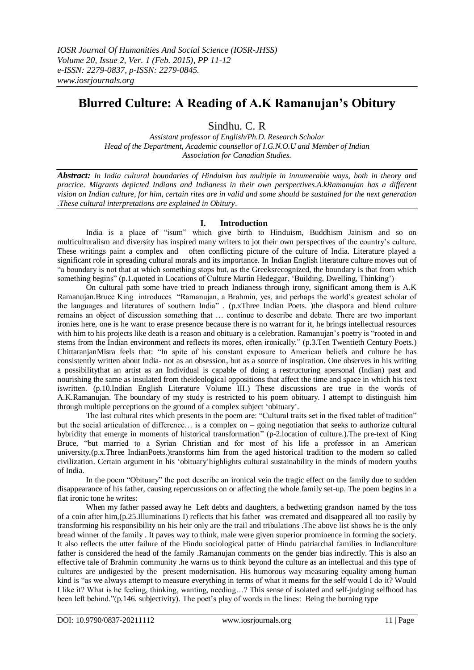## **Blurred Culture: A Reading of A.K Ramanujan's Obitury**

## Sindhu. C. R

*Assistant professor of English/Ph.D. Research Scholar Head of the Department, Academic counsellor of I.G.N.O.U and Member of Indian Association for Canadian Studies.*

*Abstract: In India cultural boundaries of Hinduism has multiple in innumerable ways, both in theory and practice. Migrants depicted Indians and Indianess in their own perspectives.A.kRamanujan has a different vision on Indian culture, for him, certain rites are in valid and some should be sustained for the next generation .These cultural interpretations are explained in Obitury*.

## **I. Introduction**

India is a place of "isum" which give birth to Hinduism, Buddhism Jainism and so on multiculturalism and diversity has inspired many writers to jot their own perspectives of the country"s culture. These writings paint a complex and often conflicting picture of the culture of India. Literature played a significant role in spreading cultural morals and its importance. In Indian English literature culture moves out of "a boundary is not that at which something stops but, as the Greeksrecognized, the boundary is that from which something begins" (p.1.quoted in Locations of Culture Martin Hedeggar, 'Building, Dwelling, Thinking')

On cultural path some have tried to preach Indianess through irony, significant among them is A.K Ramanujan.Bruce King introduces "Ramanujan, a Brahmin, yes, and perhaps the world"s greatest scholar of the languages and literatures of southern India" . (p.xThree Indian Poets. )the diaspora and blend culture remains an object of discussion something that … continue to describe and debate. There are two important ironies here, one is he want to erase presence because there is no warrant for it, he brings intellectual resources with him to his projects like death is a reason and obituary is a celebration. Ramanujan's poetry is "rooted in and stems from the Indian environment and reflects its mores, often ironically." (p.3.Ten Twentieth Century Poets.) ChittaranjanMisra feels that: "In spite of his constant exposure to American beliefs and culture he has consistently written about India- not as an obsession, but as a source of inspiration. One observes in his writing a possibilitythat an artist as an Individual is capable of doing a restructuring apersonal (Indian) past and nourishing the same as insulated from theideological oppositions that affect the time and space in which his text iswritten. (p.10.Indian English Literature Volume III.) These discussions are true in the words of A.K.Ramanujan. The boundary of my study is restricted to his poem obituary. I attempt to distinguish him through multiple perceptions on the ground of a complex subject "obituary".

The last cultural rites which presents in the poem are: "Cultural traits set in the fixed tablet of tradition" but the social articulation of difference… is a complex on – going negotiation that seeks to authorize cultural hybridity that emerge in moments of historical transformation" (p-2.location of culture.).The pre-text of King Bruce, "but married to a Syrian Christian and for most of his life a professor in an American university.(p.x.Three IndianPoets.)transforms him from the aged historical tradition to the modern so called civilization. Certain argument in his "obituary"highlights cultural sustainability in the minds of modern youths of India.

In the poem "Obituary" the poet describe an ironical vein the tragic effect on the family due to sudden disappearance of his father, causing repercussions on or affecting the whole family set-up. The poem begins in a flat ironic tone he writes:

When my father passed away he Left debts and daughters, a bedwetting grandson named by the toss of a coin after him,(p.25.Illuminations I) reflects that his father was cremated and disappeared all too easily by transforming his responsibility on his heir only are the trail and tribulations .The above list shows he is the only bread winner of the family . It paves way to think, male were given superior prominence in forming the society. It also reflects the utter failure of the Hindu sociological patter of Hindu patriarchal families in Indianculture father is considered the head of the family .Ramanujan comments on the gender bias indirectly. This is also an effective tale of Brahmin community .he warns us to think beyond the culture as an intellectual and this type of cultures are undigested by the present modernisation. His humorous way measuring equality among human kind is "as we always attempt to measure everything in terms of what it means for the self would I do it? Would I like it? What is he feeling, thinking, wanting, needing…? This sense of isolated and self-judging selfhood has been left behind."(p.146. subjectivity). The poet"s play of words in the lines: Being the burning type